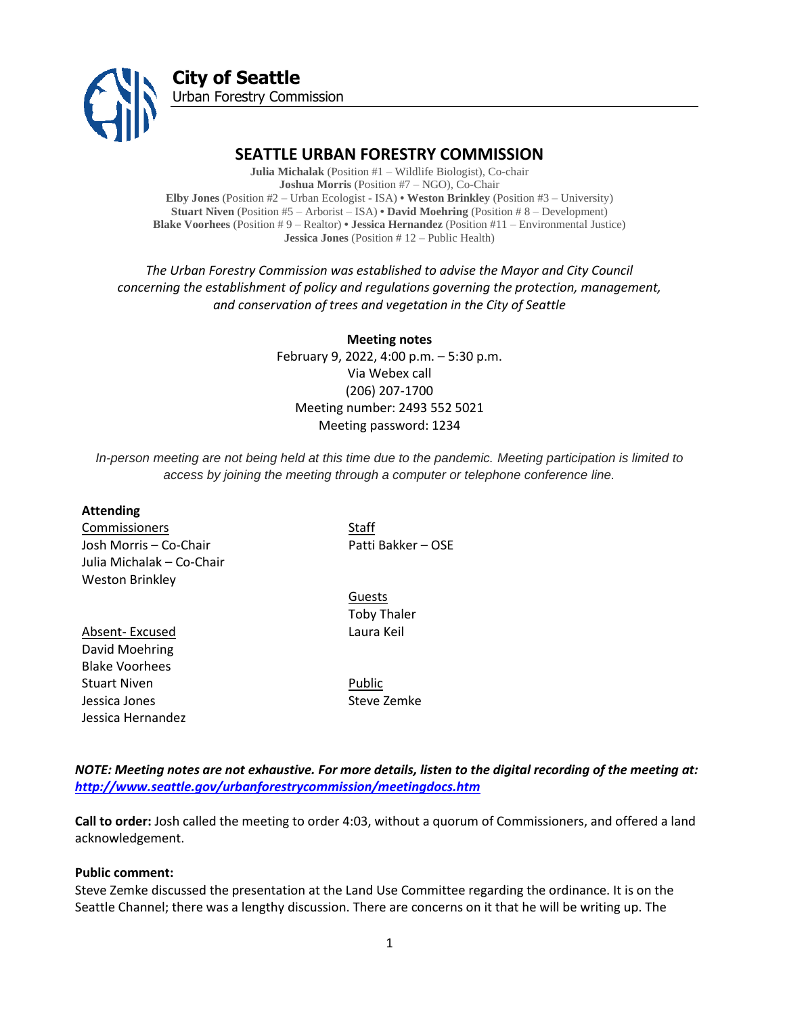

# **SEATTLE URBAN FORESTRY COMMISSION**

**Julia Michalak** (Position #1 – Wildlife Biologist), Co-chair **Joshua Morris** (Position #7 – NGO), Co-Chair **Elby Jones** (Position #2 – Urban Ecologist - ISA) **• Weston Brinkley** (Position #3 – University) **Stuart Niven** (Position #5 – Arborist – ISA) **• David Moehring** (Position # 8 – Development) **Blake Voorhees** (Position # 9 – Realtor) **• Jessica Hernandez** (Position #11 – Environmental Justice) **Jessica Jones** (Position # 12 – Public Health)

*The Urban Forestry Commission was established to advise the Mayor and City Council concerning the establishment of policy and regulations governing the protection, management, and conservation of trees and vegetation in the City of Seattle*

> **Meeting notes** February 9, 2022, 4:00 p.m. – 5:30 p.m. Via Webex call (206) 207-1700 Meeting number: 2493 552 5021 Meeting password: 1234

*In-person meeting are not being held at this time due to the pandemic. Meeting participation is limited to access by joining the meeting through a computer or telephone conference line.*

#### **Attending**

**Commissioners** Staff Josh Morris – Co-Chair Patti Bakker – OSE Julia Michalak – Co-Chair Weston Brinkley

Absent- Excused Laura Keil David Moehring Blake Voorhees Stuart Niven **Public** Jessica Jones Steve Zemke Jessica Hernandez

Guests Toby Thaler

*NOTE: Meeting notes are not exhaustive. For more details, listen to the digital recording of the meeting at: <http://www.seattle.gov/urbanforestrycommission/meetingdocs.htm>*

**Call to order:** Josh called the meeting to order 4:03, without a quorum of Commissioners, and offered a land acknowledgement.

#### **Public comment:**

Steve Zemke discussed the presentation at the Land Use Committee regarding the ordinance. It is on the Seattle Channel; there was a lengthy discussion. There are concerns on it that he will be writing up. The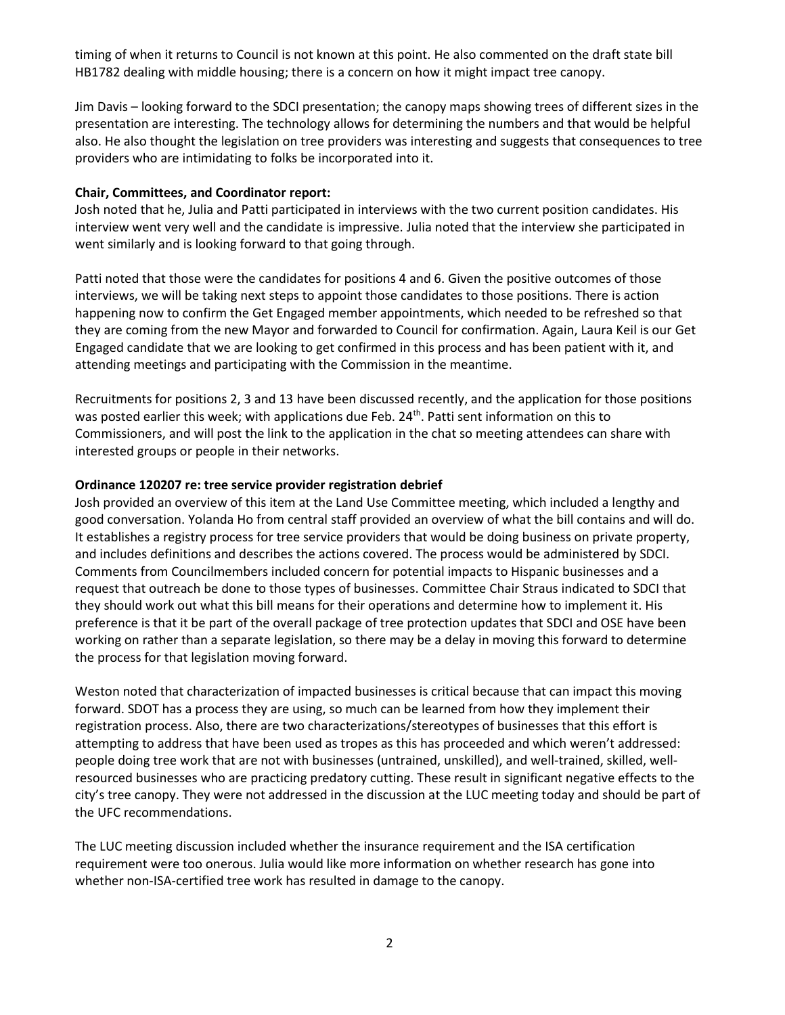timing of when it returns to Council is not known at this point. He also commented on the draft state bill HB1782 dealing with middle housing; there is a concern on how it might impact tree canopy.

Jim Davis – looking forward to the SDCI presentation; the canopy maps showing trees of different sizes in the presentation are interesting. The technology allows for determining the numbers and that would be helpful also. He also thought the legislation on tree providers was interesting and suggests that consequences to tree providers who are intimidating to folks be incorporated into it.

## **Chair, Committees, and Coordinator report:**

Josh noted that he, Julia and Patti participated in interviews with the two current position candidates. His interview went very well and the candidate is impressive. Julia noted that the interview she participated in went similarly and is looking forward to that going through.

Patti noted that those were the candidates for positions 4 and 6. Given the positive outcomes of those interviews, we will be taking next steps to appoint those candidates to those positions. There is action happening now to confirm the Get Engaged member appointments, which needed to be refreshed so that they are coming from the new Mayor and forwarded to Council for confirmation. Again, Laura Keil is our Get Engaged candidate that we are looking to get confirmed in this process and has been patient with it, and attending meetings and participating with the Commission in the meantime.

Recruitments for positions 2, 3 and 13 have been discussed recently, and the application for those positions was posted earlier this week; with applications due Feb. 24<sup>th</sup>. Patti sent information on this to Commissioners, and will post the link to the application in the chat so meeting attendees can share with interested groups or people in their networks.

## **Ordinance 120207 re: tree service provider registration debrief**

Josh provided an overview of this item at the Land Use Committee meeting, which included a lengthy and good conversation. Yolanda Ho from central staff provided an overview of what the bill contains and will do. It establishes a registry process for tree service providers that would be doing business on private property, and includes definitions and describes the actions covered. The process would be administered by SDCI. Comments from Councilmembers included concern for potential impacts to Hispanic businesses and a request that outreach be done to those types of businesses. Committee Chair Straus indicated to SDCI that they should work out what this bill means for their operations and determine how to implement it. His preference is that it be part of the overall package of tree protection updates that SDCI and OSE have been working on rather than a separate legislation, so there may be a delay in moving this forward to determine the process for that legislation moving forward.

Weston noted that characterization of impacted businesses is critical because that can impact this moving forward. SDOT has a process they are using, so much can be learned from how they implement their registration process. Also, there are two characterizations/stereotypes of businesses that this effort is attempting to address that have been used as tropes as this has proceeded and which weren't addressed: people doing tree work that are not with businesses (untrained, unskilled), and well-trained, skilled, wellresourced businesses who are practicing predatory cutting. These result in significant negative effects to the city's tree canopy. They were not addressed in the discussion at the LUC meeting today and should be part of the UFC recommendations.

The LUC meeting discussion included whether the insurance requirement and the ISA certification requirement were too onerous. Julia would like more information on whether research has gone into whether non-ISA-certified tree work has resulted in damage to the canopy.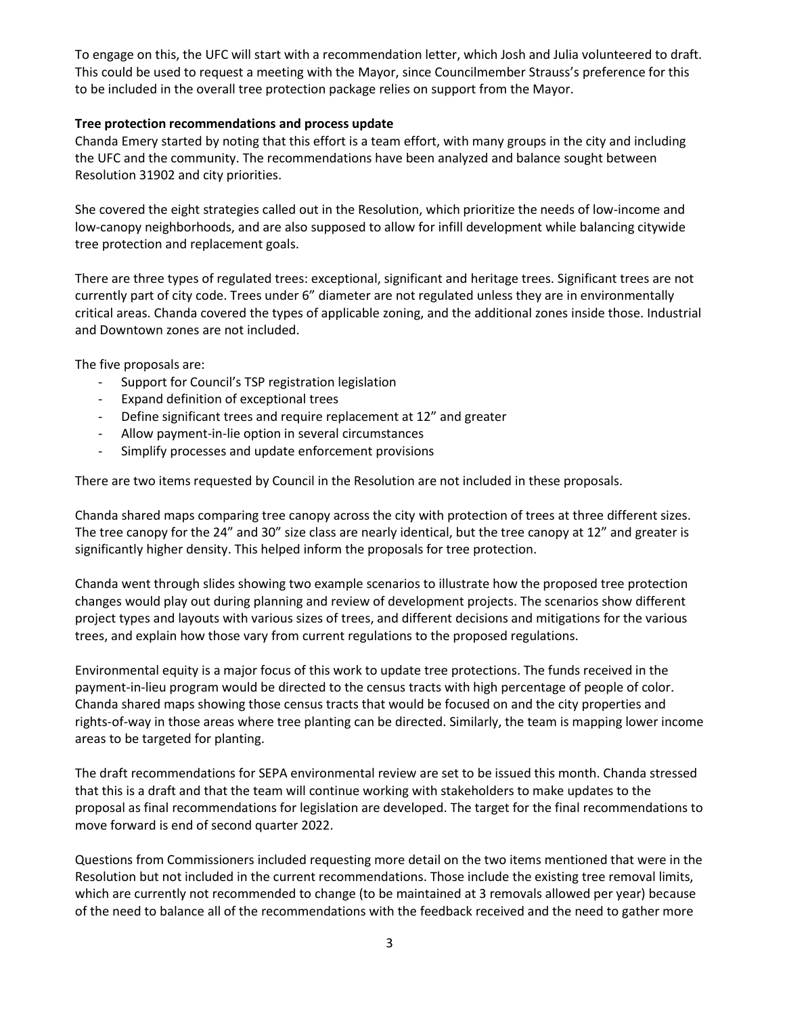To engage on this, the UFC will start with a recommendation letter, which Josh and Julia volunteered to draft. This could be used to request a meeting with the Mayor, since Councilmember Strauss's preference for this to be included in the overall tree protection package relies on support from the Mayor.

## **Tree protection recommendations and process update**

Chanda Emery started by noting that this effort is a team effort, with many groups in the city and including the UFC and the community. The recommendations have been analyzed and balance sought between Resolution 31902 and city priorities.

She covered the eight strategies called out in the Resolution, which prioritize the needs of low-income and low-canopy neighborhoods, and are also supposed to allow for infill development while balancing citywide tree protection and replacement goals.

There are three types of regulated trees: exceptional, significant and heritage trees. Significant trees are not currently part of city code. Trees under 6" diameter are not regulated unless they are in environmentally critical areas. Chanda covered the types of applicable zoning, and the additional zones inside those. Industrial and Downtown zones are not included.

The five proposals are:

- Support for Council's TSP registration legislation
- Expand definition of exceptional trees
- Define significant trees and require replacement at 12" and greater
- Allow payment-in-lie option in several circumstances
- Simplify processes and update enforcement provisions

There are two items requested by Council in the Resolution are not included in these proposals.

Chanda shared maps comparing tree canopy across the city with protection of trees at three different sizes. The tree canopy for the 24" and 30" size class are nearly identical, but the tree canopy at 12" and greater is significantly higher density. This helped inform the proposals for tree protection.

Chanda went through slides showing two example scenarios to illustrate how the proposed tree protection changes would play out during planning and review of development projects. The scenarios show different project types and layouts with various sizes of trees, and different decisions and mitigations for the various trees, and explain how those vary from current regulations to the proposed regulations.

Environmental equity is a major focus of this work to update tree protections. The funds received in the payment-in-lieu program would be directed to the census tracts with high percentage of people of color. Chanda shared maps showing those census tracts that would be focused on and the city properties and rights-of-way in those areas where tree planting can be directed. Similarly, the team is mapping lower income areas to be targeted for planting.

The draft recommendations for SEPA environmental review are set to be issued this month. Chanda stressed that this is a draft and that the team will continue working with stakeholders to make updates to the proposal as final recommendations for legislation are developed. The target for the final recommendations to move forward is end of second quarter 2022.

Questions from Commissioners included requesting more detail on the two items mentioned that were in the Resolution but not included in the current recommendations. Those include the existing tree removal limits, which are currently not recommended to change (to be maintained at 3 removals allowed per year) because of the need to balance all of the recommendations with the feedback received and the need to gather more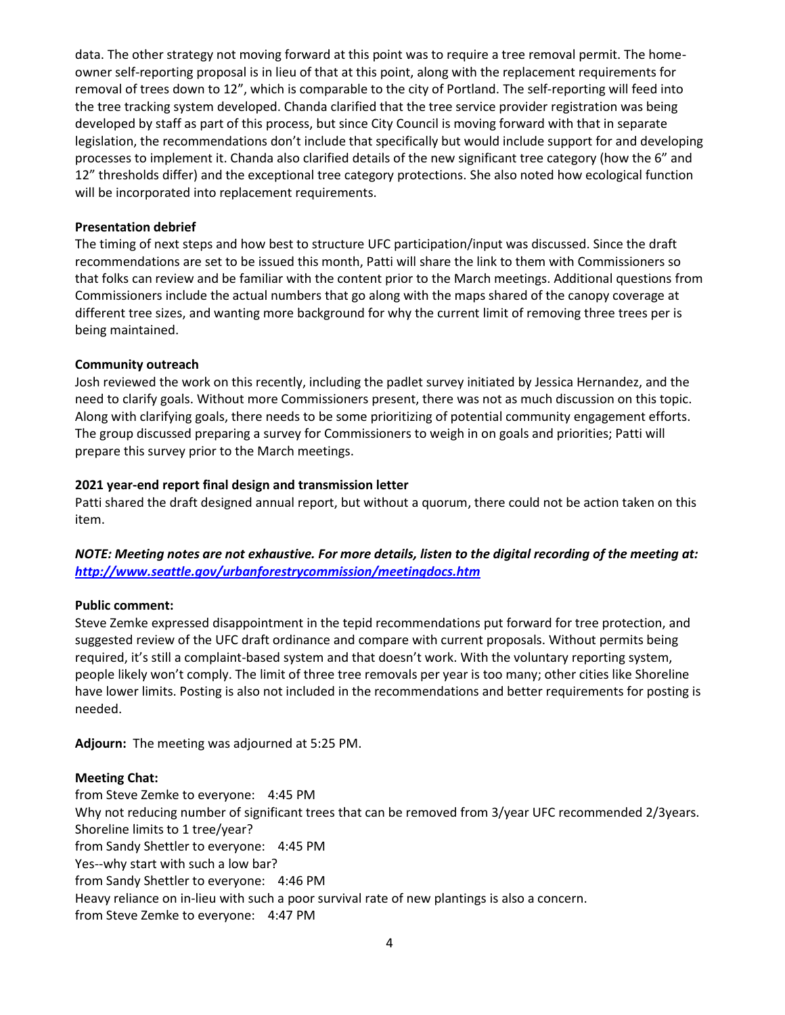data. The other strategy not moving forward at this point was to require a tree removal permit. The homeowner self-reporting proposal is in lieu of that at this point, along with the replacement requirements for removal of trees down to 12", which is comparable to the city of Portland. The self-reporting will feed into the tree tracking system developed. Chanda clarified that the tree service provider registration was being developed by staff as part of this process, but since City Council is moving forward with that in separate legislation, the recommendations don't include that specifically but would include support for and developing processes to implement it. Chanda also clarified details of the new significant tree category (how the 6" and 12" thresholds differ) and the exceptional tree category protections. She also noted how ecological function will be incorporated into replacement requirements.

### **Presentation debrief**

The timing of next steps and how best to structure UFC participation/input was discussed. Since the draft recommendations are set to be issued this month, Patti will share the link to them with Commissioners so that folks can review and be familiar with the content prior to the March meetings. Additional questions from Commissioners include the actual numbers that go along with the maps shared of the canopy coverage at different tree sizes, and wanting more background for why the current limit of removing three trees per is being maintained.

### **Community outreach**

Josh reviewed the work on this recently, including the padlet survey initiated by Jessica Hernandez, and the need to clarify goals. Without more Commissioners present, there was not as much discussion on this topic. Along with clarifying goals, there needs to be some prioritizing of potential community engagement efforts. The group discussed preparing a survey for Commissioners to weigh in on goals and priorities; Patti will prepare this survey prior to the March meetings.

## **2021 year-end report final design and transmission letter**

Patti shared the draft designed annual report, but without a quorum, there could not be action taken on this item.

# *NOTE: Meeting notes are not exhaustive. For more details, listen to the digital recording of the meeting at: <http://www.seattle.gov/urbanforestrycommission/meetingdocs.htm>*

## **Public comment:**

Steve Zemke expressed disappointment in the tepid recommendations put forward for tree protection, and suggested review of the UFC draft ordinance and compare with current proposals. Without permits being required, it's still a complaint-based system and that doesn't work. With the voluntary reporting system, people likely won't comply. The limit of three tree removals per year is too many; other cities like Shoreline have lower limits. Posting is also not included in the recommendations and better requirements for posting is needed.

**Adjourn:** The meeting was adjourned at 5:25 PM.

## **Meeting Chat:**

from Steve Zemke to everyone: 4:45 PM Why not reducing number of significant trees that can be removed from 3/year UFC recommended 2/3years. Shoreline limits to 1 tree/year? from Sandy Shettler to everyone: 4:45 PM Yes--why start with such a low bar? from Sandy Shettler to everyone: 4:46 PM Heavy reliance on in-lieu with such a poor survival rate of new plantings is also a concern. from Steve Zemke to everyone: 4:47 PM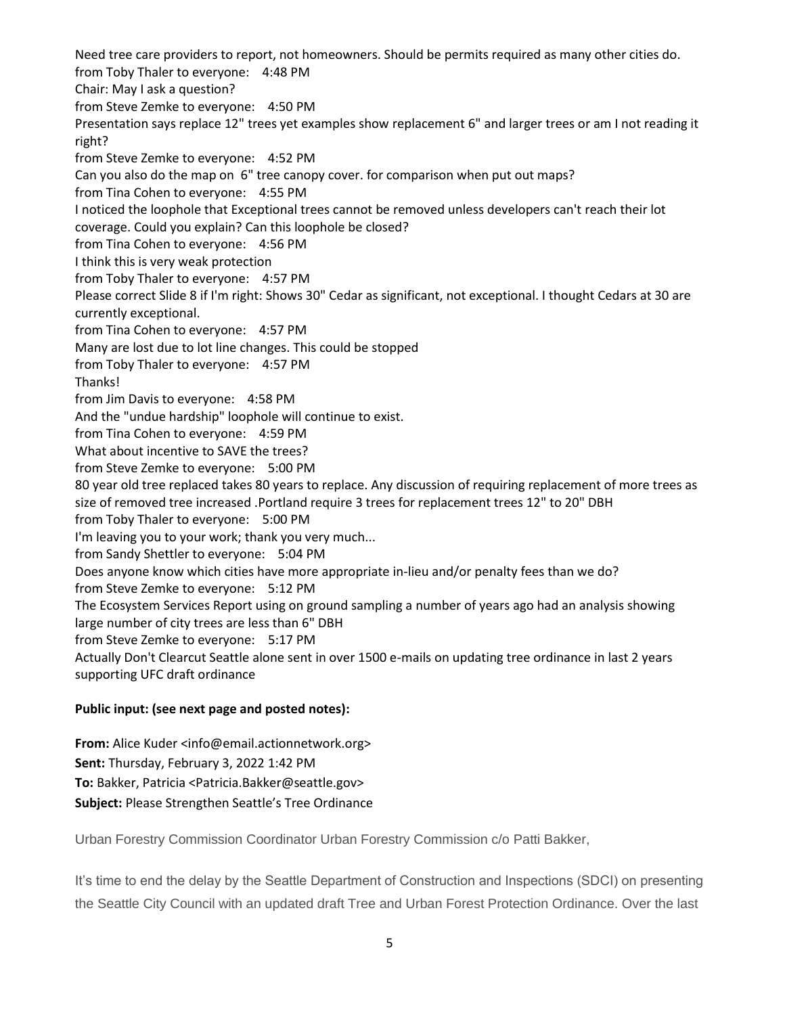Need tree care providers to report, not homeowners. Should be permits required as many other cities do. from Toby Thaler to everyone: 4:48 PM Chair: May I ask a question? from Steve Zemke to everyone: 4:50 PM Presentation says replace 12" trees yet examples show replacement 6" and larger trees or am I not reading it right? from Steve Zemke to everyone: 4:52 PM Can you also do the map on 6" tree canopy cover. for comparison when put out maps? from Tina Cohen to everyone: 4:55 PM I noticed the loophole that Exceptional trees cannot be removed unless developers can't reach their lot coverage. Could you explain? Can this loophole be closed? from Tina Cohen to everyone: 4:56 PM I think this is very weak protection from Toby Thaler to everyone: 4:57 PM Please correct Slide 8 if I'm right: Shows 30" Cedar as significant, not exceptional. I thought Cedars at 30 are currently exceptional. from Tina Cohen to everyone: 4:57 PM Many are lost due to lot line changes. This could be stopped from Toby Thaler to everyone: 4:57 PM Thanks! from Jim Davis to everyone: 4:58 PM And the "undue hardship" loophole will continue to exist. from Tina Cohen to everyone: 4:59 PM What about incentive to SAVE the trees? from Steve Zemke to everyone: 5:00 PM 80 year old tree replaced takes 80 years to replace. Any discussion of requiring replacement of more trees as size of removed tree increased .Portland require 3 trees for replacement trees 12" to 20" DBH from Toby Thaler to everyone: 5:00 PM I'm leaving you to your work; thank you very much... from Sandy Shettler to everyone: 5:04 PM Does anyone know which cities have more appropriate in-lieu and/or penalty fees than we do? from Steve Zemke to everyone: 5:12 PM The Ecosystem Services Report using on ground sampling a number of years ago had an analysis showing large number of city trees are less than 6" DBH from Steve Zemke to everyone: 5:17 PM Actually Don't Clearcut Seattle alone sent in over 1500 e-mails on updating tree ordinance in last 2 years supporting UFC draft ordinance

## **Public input: (see next page and posted notes):**

**From:** Alice Kuder <info@email.actionnetwork.org> **Sent:** Thursday, February 3, 2022 1:42 PM **To:** Bakker, Patricia <Patricia.Bakker@seattle.gov> **Subject:** Please Strengthen Seattle's Tree Ordinance

Urban Forestry Commission Coordinator Urban Forestry Commission c/o Patti Bakker,

It's time to end the delay by the Seattle Department of Construction and Inspections (SDCI) on presenting the Seattle City Council with an updated draft Tree and Urban Forest Protection Ordinance. Over the last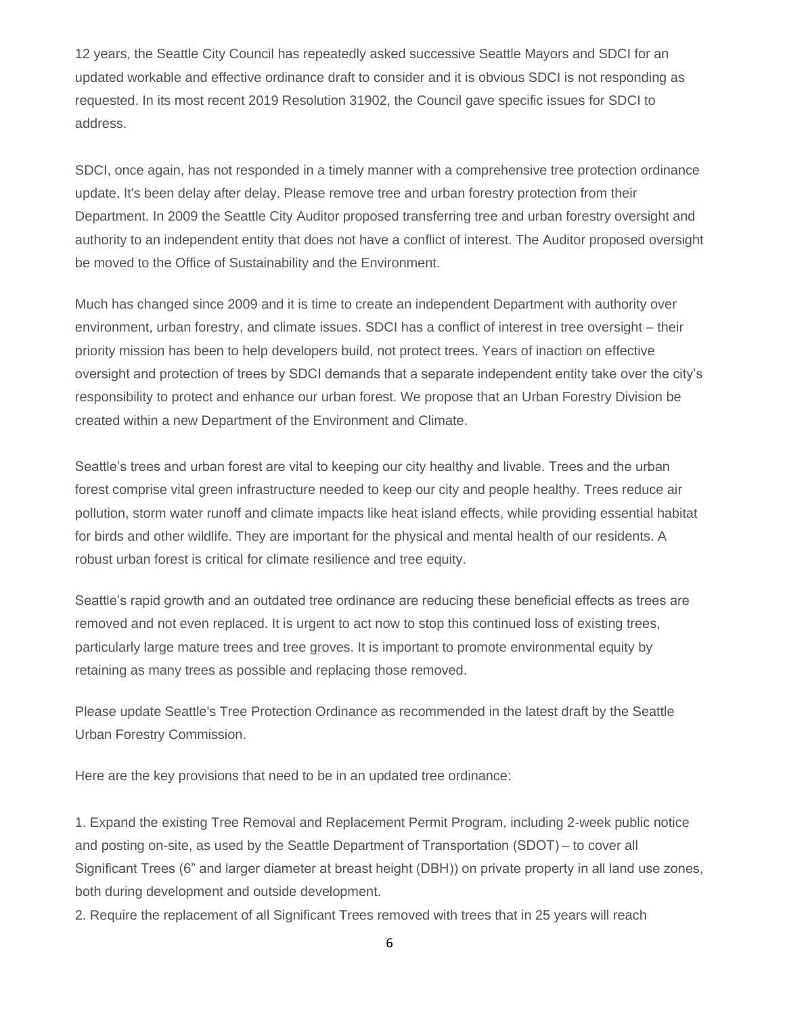12 years, the Seattle City Council has repeatedly asked successive Seattle Mayors and SDCI for an updated workable and effective ordinance draft to consider and it is obvious SDCI is not responding as requested. In its most recent 2019 Resolution 31902, the Council gave specific issues for SDCI to address.

SDCI, once again, has not responded in a timely manner with a comprehensive tree protection ordinance update. It's been delay after delay. Please remove tree and urban forestry protection from their Department. In 2009 the Seattle City Auditor proposed transferring tree and urban forestry oversight and authority to an independent entity that does not have a conflict of interest. The Auditor proposed oversight be moved to the Office of Sustainability and the Environment.

Much has changed since 2009 and it is time to create an independent Department with authority over environment, urban forestry, and climate issues. SDCI has a conflict of interest in tree oversight – their priority mission has been to help developers build, not protect trees. Years of inaction on effective oversight and protection of trees by SDCI demands that a separate independent entity take over the city's responsibility to protect and enhance our urban forest. We propose that an Urban Forestry Division be created within a new Department of the Environment and Climate.

Seattle's trees and urban forest are vital to keeping our city healthy and livable. Trees and the urban forest comprise vital green infrastructure needed to keep our city and people healthy. Trees reduce air pollution, storm water runoff and climate impacts like heat island effects, while providing essential habitat for birds and other wildlife. They are important for the physical and mental health of our residents. A robust urban forest is critical for climate resilience and tree equity.

Seattle's rapid growth and an outdated tree ordinance are reducing these beneficial effects as trees are removed and not even replaced. It is urgent to act now to stop this continued loss of existing trees, particularly large mature trees and tree groves. It is important to promote environmental equity by retaining as many trees as possible and replacing those removed.

Please update Seattle's Tree Protection Ordinance as recommended in the latest draft by the Seattle Urban Forestry Commission.

Here are the key provisions that need to be in an updated tree ordinance:

1. Expand the existing Tree Removal and Replacement Permit Program, including 2-week public notice and posting on-site, as used by the Seattle Department of Transportation (SDOT) – to cover all Significant Trees (6" and larger diameter at breast height (DBH)) on private property in all land use zones, both during development and outside development.

2. Require the replacement of all Significant Trees removed with trees that in 25 years will reach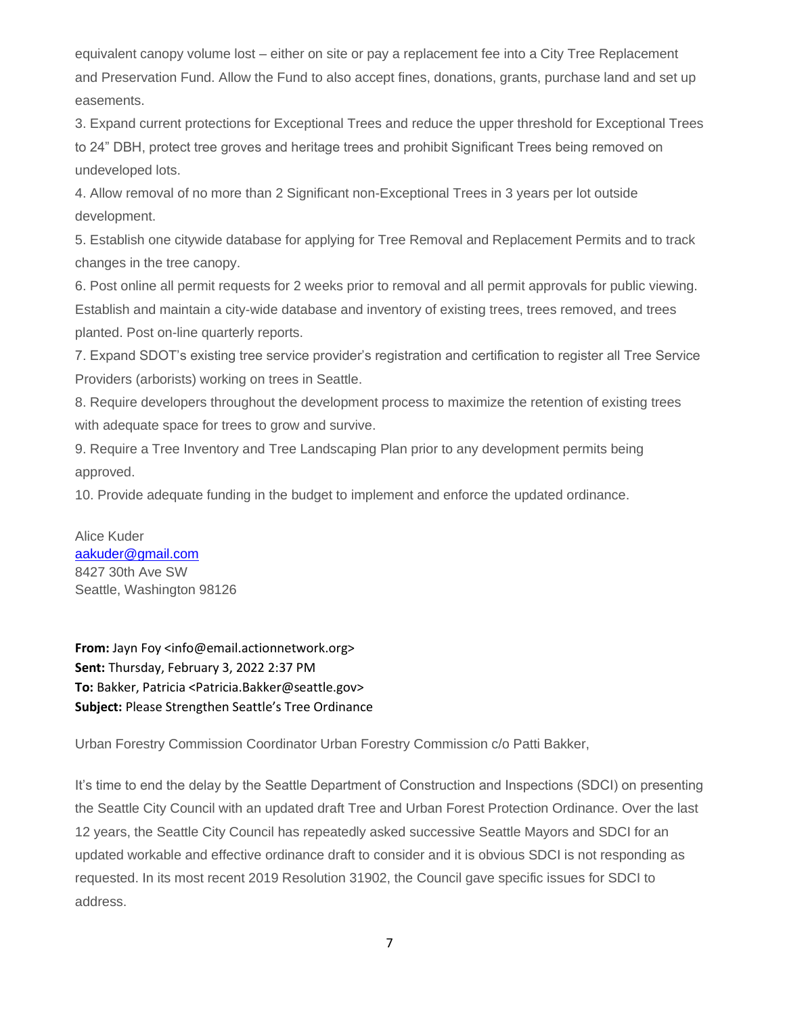equivalent canopy volume lost – either on site or pay a replacement fee into a City Tree Replacement and Preservation Fund. Allow the Fund to also accept fines, donations, grants, purchase land and set up easements.

3. Expand current protections for Exceptional Trees and reduce the upper threshold for Exceptional Trees to 24" DBH, protect tree groves and heritage trees and prohibit Significant Trees being removed on undeveloped lots.

4. Allow removal of no more than 2 Significant non-Exceptional Trees in 3 years per lot outside development.

5. Establish one citywide database for applying for Tree Removal and Replacement Permits and to track changes in the tree canopy.

6. Post online all permit requests for 2 weeks prior to removal and all permit approvals for public viewing. Establish and maintain a city-wide database and inventory of existing trees, trees removed, and trees planted. Post on-line quarterly reports.

7. Expand SDOT's existing tree service provider's registration and certification to register all Tree Service Providers (arborists) working on trees in Seattle.

8. Require developers throughout the development process to maximize the retention of existing trees with adequate space for trees to grow and survive.

9. Require a Tree Inventory and Tree Landscaping Plan prior to any development permits being approved.

10. Provide adequate funding in the budget to implement and enforce the updated ordinance.

Alice Kuder [aakuder@gmail.com](mailto:aakuder@gmail.com) 8427 30th Ave SW Seattle, Washington 98126

**From:** Jayn Foy <info@email.actionnetwork.org> **Sent:** Thursday, February 3, 2022 2:37 PM **To:** Bakker, Patricia <Patricia.Bakker@seattle.gov> **Subject:** Please Strengthen Seattle's Tree Ordinance

Urban Forestry Commission Coordinator Urban Forestry Commission c/o Patti Bakker,

It's time to end the delay by the Seattle Department of Construction and Inspections (SDCI) on presenting the Seattle City Council with an updated draft Tree and Urban Forest Protection Ordinance. Over the last 12 years, the Seattle City Council has repeatedly asked successive Seattle Mayors and SDCI for an updated workable and effective ordinance draft to consider and it is obvious SDCI is not responding as requested. In its most recent 2019 Resolution 31902, the Council gave specific issues for SDCI to address.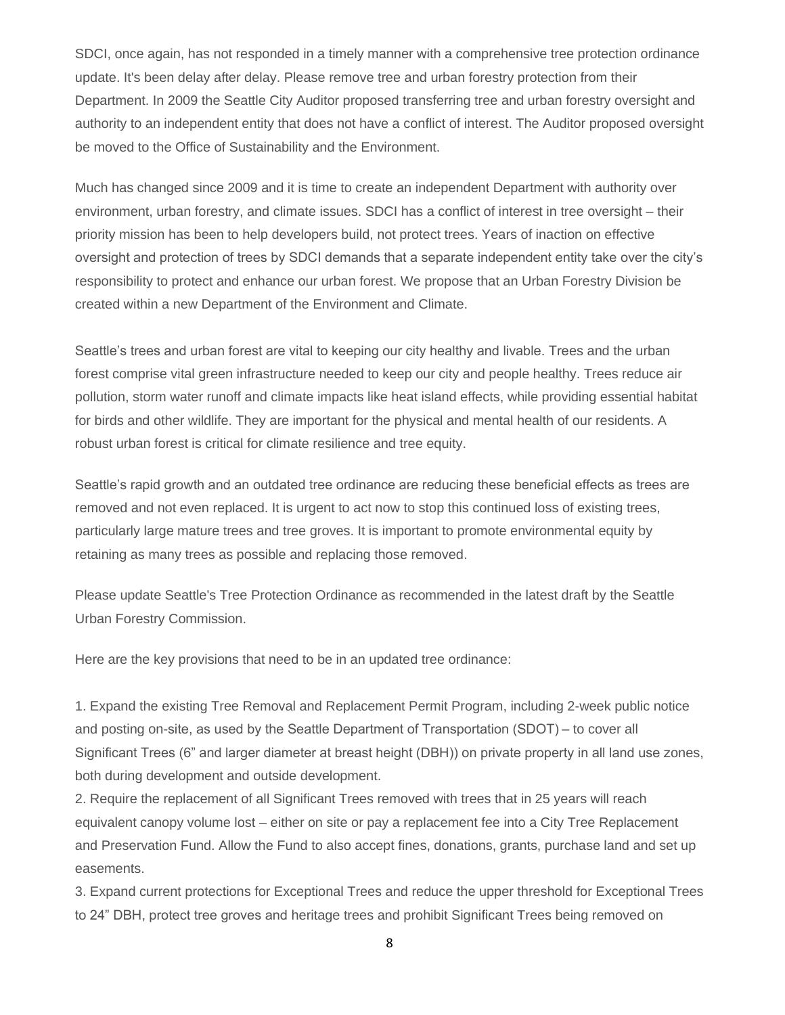SDCI, once again, has not responded in a timely manner with a comprehensive tree protection ordinance update. It's been delay after delay. Please remove tree and urban forestry protection from their Department. In 2009 the Seattle City Auditor proposed transferring tree and urban forestry oversight and authority to an independent entity that does not have a conflict of interest. The Auditor proposed oversight be moved to the Office of Sustainability and the Environment.

Much has changed since 2009 and it is time to create an independent Department with authority over environment, urban forestry, and climate issues. SDCI has a conflict of interest in tree oversight – their priority mission has been to help developers build, not protect trees. Years of inaction on effective oversight and protection of trees by SDCI demands that a separate independent entity take over the city's responsibility to protect and enhance our urban forest. We propose that an Urban Forestry Division be created within a new Department of the Environment and Climate.

Seattle's trees and urban forest are vital to keeping our city healthy and livable. Trees and the urban forest comprise vital green infrastructure needed to keep our city and people healthy. Trees reduce air pollution, storm water runoff and climate impacts like heat island effects, while providing essential habitat for birds and other wildlife. They are important for the physical and mental health of our residents. A robust urban forest is critical for climate resilience and tree equity.

Seattle's rapid growth and an outdated tree ordinance are reducing these beneficial effects as trees are removed and not even replaced. It is urgent to act now to stop this continued loss of existing trees, particularly large mature trees and tree groves. It is important to promote environmental equity by retaining as many trees as possible and replacing those removed.

Please update Seattle's Tree Protection Ordinance as recommended in the latest draft by the Seattle Urban Forestry Commission.

Here are the key provisions that need to be in an updated tree ordinance:

1. Expand the existing Tree Removal and Replacement Permit Program, including 2-week public notice and posting on-site, as used by the Seattle Department of Transportation (SDOT) – to cover all Significant Trees (6" and larger diameter at breast height (DBH)) on private property in all land use zones, both during development and outside development.

2. Require the replacement of all Significant Trees removed with trees that in 25 years will reach equivalent canopy volume lost – either on site or pay a replacement fee into a City Tree Replacement and Preservation Fund. Allow the Fund to also accept fines, donations, grants, purchase land and set up easements.

3. Expand current protections for Exceptional Trees and reduce the upper threshold for Exceptional Trees to 24" DBH, protect tree groves and heritage trees and prohibit Significant Trees being removed on

8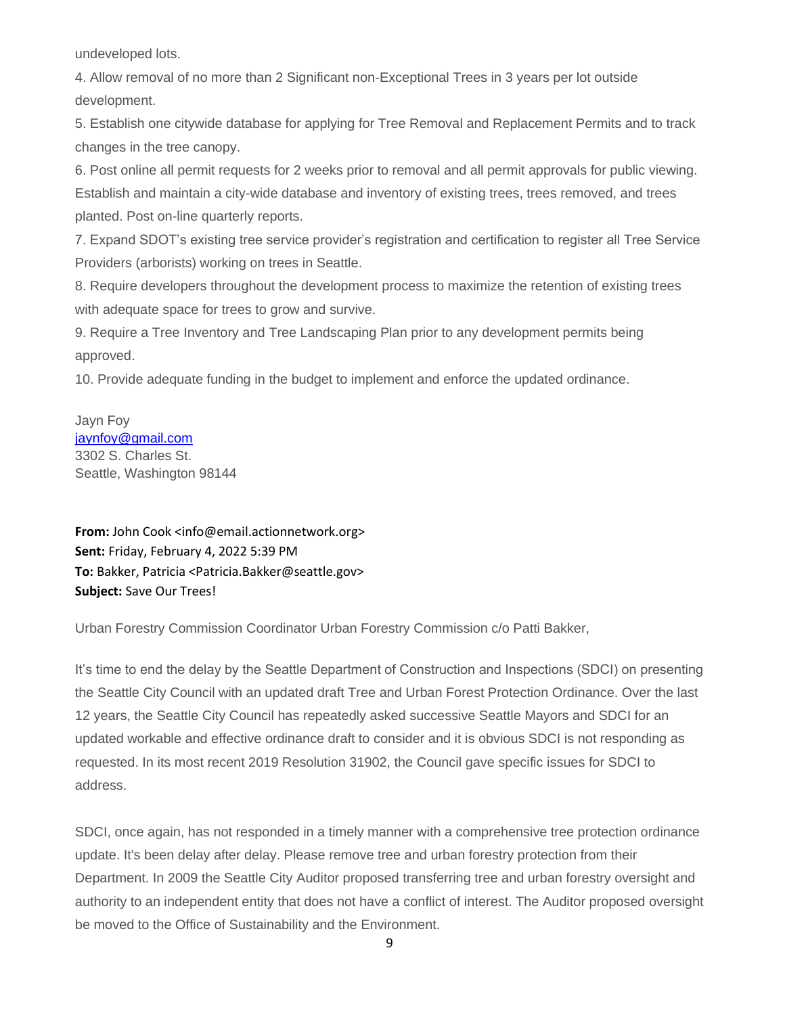undeveloped lots.

4. Allow removal of no more than 2 Significant non-Exceptional Trees in 3 years per lot outside development.

5. Establish one citywide database for applying for Tree Removal and Replacement Permits and to track changes in the tree canopy.

6. Post online all permit requests for 2 weeks prior to removal and all permit approvals for public viewing. Establish and maintain a city-wide database and inventory of existing trees, trees removed, and trees planted. Post on-line quarterly reports.

7. Expand SDOT's existing tree service provider's registration and certification to register all Tree Service Providers (arborists) working on trees in Seattle.

8. Require developers throughout the development process to maximize the retention of existing trees with adequate space for trees to grow and survive.

9. Require a Tree Inventory and Tree Landscaping Plan prior to any development permits being approved.

10. Provide adequate funding in the budget to implement and enforce the updated ordinance.

Jayn Foy [jaynfoy@gmail.com](mailto:jaynfoy@gmail.com) 3302 S. Charles St. Seattle, Washington 98144

**From:** John Cook <info@email.actionnetwork.org> **Sent:** Friday, February 4, 2022 5:39 PM **To:** Bakker, Patricia <Patricia.Bakker@seattle.gov> **Subject:** Save Our Trees!

Urban Forestry Commission Coordinator Urban Forestry Commission c/o Patti Bakker,

It's time to end the delay by the Seattle Department of Construction and Inspections (SDCI) on presenting the Seattle City Council with an updated draft Tree and Urban Forest Protection Ordinance. Over the last 12 years, the Seattle City Council has repeatedly asked successive Seattle Mayors and SDCI for an updated workable and effective ordinance draft to consider and it is obvious SDCI is not responding as requested. In its most recent 2019 Resolution 31902, the Council gave specific issues for SDCI to address.

SDCI, once again, has not responded in a timely manner with a comprehensive tree protection ordinance update. It's been delay after delay. Please remove tree and urban forestry protection from their Department. In 2009 the Seattle City Auditor proposed transferring tree and urban forestry oversight and authority to an independent entity that does not have a conflict of interest. The Auditor proposed oversight be moved to the Office of Sustainability and the Environment.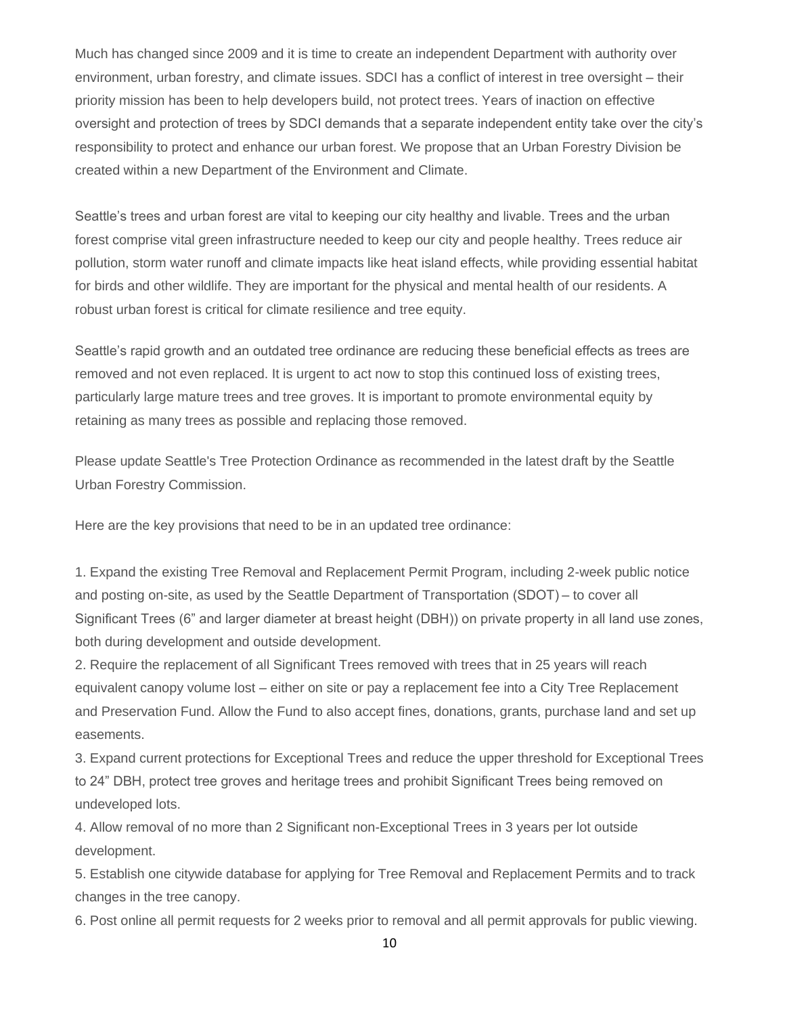Much has changed since 2009 and it is time to create an independent Department with authority over environment, urban forestry, and climate issues. SDCI has a conflict of interest in tree oversight – their priority mission has been to help developers build, not protect trees. Years of inaction on effective oversight and protection of trees by SDCI demands that a separate independent entity take over the city's responsibility to protect and enhance our urban forest. We propose that an Urban Forestry Division be created within a new Department of the Environment and Climate.

Seattle's trees and urban forest are vital to keeping our city healthy and livable. Trees and the urban forest comprise vital green infrastructure needed to keep our city and people healthy. Trees reduce air pollution, storm water runoff and climate impacts like heat island effects, while providing essential habitat for birds and other wildlife. They are important for the physical and mental health of our residents. A robust urban forest is critical for climate resilience and tree equity.

Seattle's rapid growth and an outdated tree ordinance are reducing these beneficial effects as trees are removed and not even replaced. It is urgent to act now to stop this continued loss of existing trees, particularly large mature trees and tree groves. It is important to promote environmental equity by retaining as many trees as possible and replacing those removed.

Please update Seattle's Tree Protection Ordinance as recommended in the latest draft by the Seattle Urban Forestry Commission.

Here are the key provisions that need to be in an updated tree ordinance:

1. Expand the existing Tree Removal and Replacement Permit Program, including 2-week public notice and posting on-site, as used by the Seattle Department of Transportation (SDOT) – to cover all Significant Trees (6" and larger diameter at breast height (DBH)) on private property in all land use zones, both during development and outside development.

2. Require the replacement of all Significant Trees removed with trees that in 25 years will reach equivalent canopy volume lost – either on site or pay a replacement fee into a City Tree Replacement and Preservation Fund. Allow the Fund to also accept fines, donations, grants, purchase land and set up easements.

3. Expand current protections for Exceptional Trees and reduce the upper threshold for Exceptional Trees to 24" DBH, protect tree groves and heritage trees and prohibit Significant Trees being removed on undeveloped lots.

4. Allow removal of no more than 2 Significant non-Exceptional Trees in 3 years per lot outside development.

5. Establish one citywide database for applying for Tree Removal and Replacement Permits and to track changes in the tree canopy.

6. Post online all permit requests for 2 weeks prior to removal and all permit approvals for public viewing.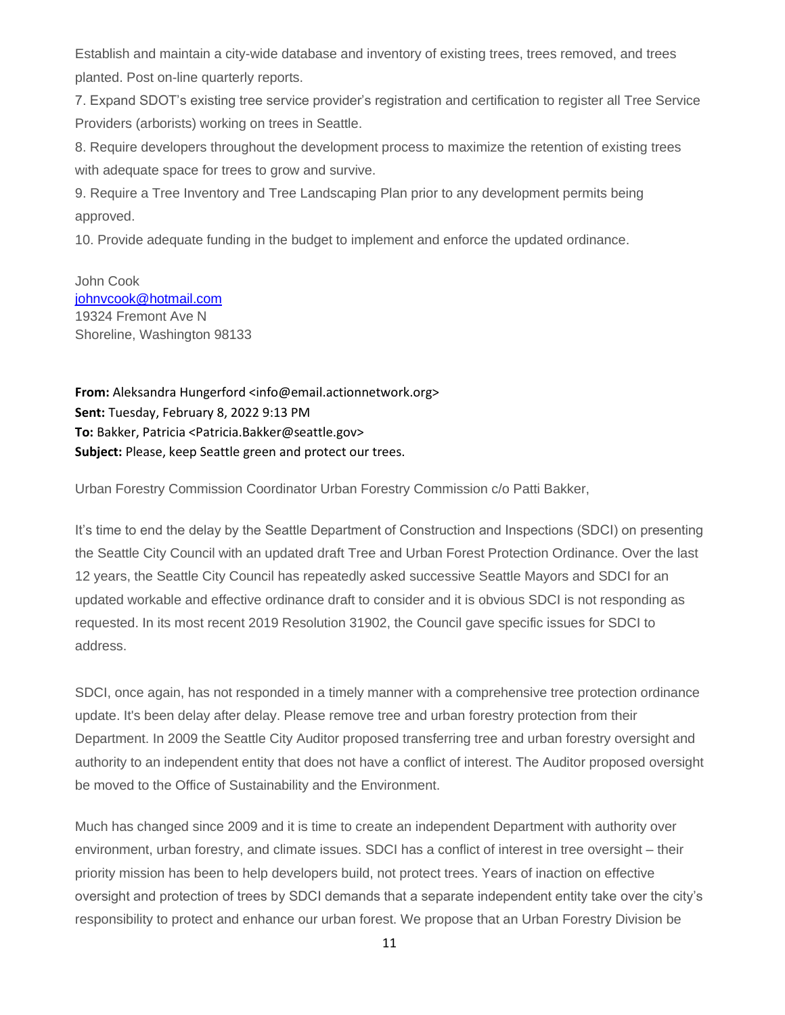Establish and maintain a city-wide database and inventory of existing trees, trees removed, and trees planted. Post on-line quarterly reports.

7. Expand SDOT's existing tree service provider's registration and certification to register all Tree Service Providers (arborists) working on trees in Seattle.

8. Require developers throughout the development process to maximize the retention of existing trees with adequate space for trees to grow and survive.

9. Require a Tree Inventory and Tree Landscaping Plan prior to any development permits being approved.

10. Provide adequate funding in the budget to implement and enforce the updated ordinance.

John Cook [johnvcook@hotmail.com](mailto:johnvcook@hotmail.com) 19324 Fremont Ave N Shoreline, Washington 98133

**From:** Aleksandra Hungerford <info@email.actionnetwork.org> **Sent:** Tuesday, February 8, 2022 9:13 PM **To:** Bakker, Patricia <Patricia.Bakker@seattle.gov> **Subject:** Please, keep Seattle green and protect our trees.

Urban Forestry Commission Coordinator Urban Forestry Commission c/o Patti Bakker,

It's time to end the delay by the Seattle Department of Construction and Inspections (SDCI) on presenting the Seattle City Council with an updated draft Tree and Urban Forest Protection Ordinance. Over the last 12 years, the Seattle City Council has repeatedly asked successive Seattle Mayors and SDCI for an updated workable and effective ordinance draft to consider and it is obvious SDCI is not responding as requested. In its most recent 2019 Resolution 31902, the Council gave specific issues for SDCI to address.

SDCI, once again, has not responded in a timely manner with a comprehensive tree protection ordinance update. It's been delay after delay. Please remove tree and urban forestry protection from their Department. In 2009 the Seattle City Auditor proposed transferring tree and urban forestry oversight and authority to an independent entity that does not have a conflict of interest. The Auditor proposed oversight be moved to the Office of Sustainability and the Environment.

Much has changed since 2009 and it is time to create an independent Department with authority over environment, urban forestry, and climate issues. SDCI has a conflict of interest in tree oversight – their priority mission has been to help developers build, not protect trees. Years of inaction on effective oversight and protection of trees by SDCI demands that a separate independent entity take over the city's responsibility to protect and enhance our urban forest. We propose that an Urban Forestry Division be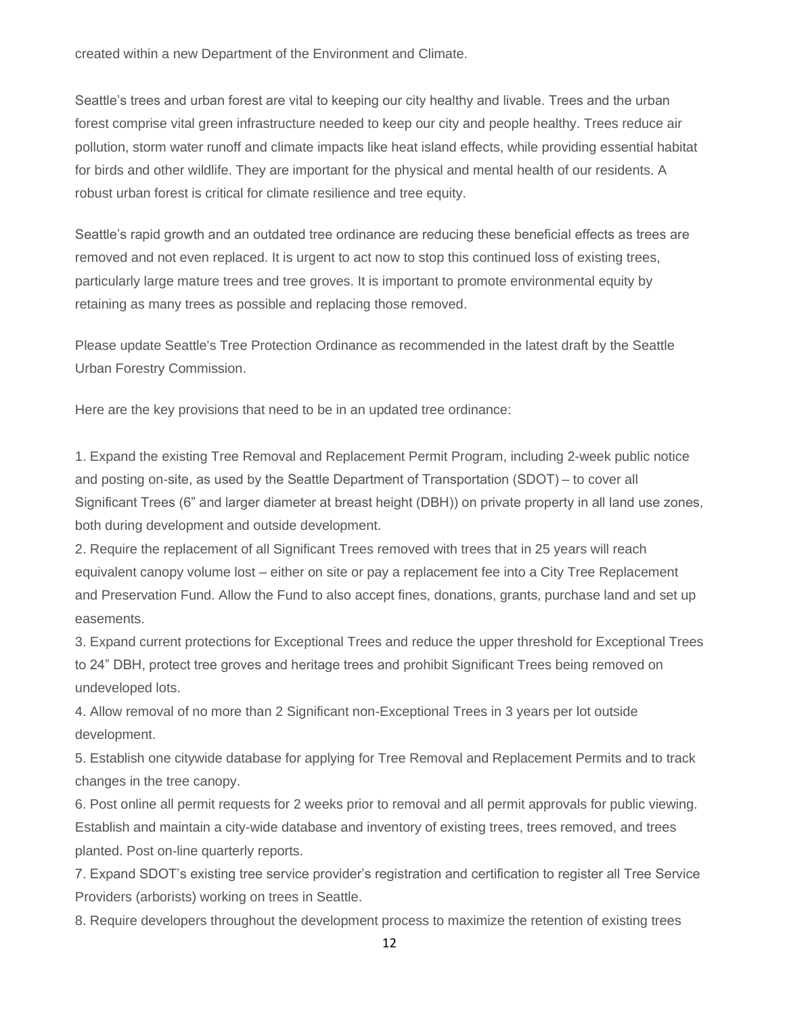created within a new Department of the Environment and Climate.

Seattle's trees and urban forest are vital to keeping our city healthy and livable. Trees and the urban forest comprise vital green infrastructure needed to keep our city and people healthy. Trees reduce air pollution, storm water runoff and climate impacts like heat island effects, while providing essential habitat for birds and other wildlife. They are important for the physical and mental health of our residents. A robust urban forest is critical for climate resilience and tree equity.

Seattle's rapid growth and an outdated tree ordinance are reducing these beneficial effects as trees are removed and not even replaced. It is urgent to act now to stop this continued loss of existing trees, particularly large mature trees and tree groves. It is important to promote environmental equity by retaining as many trees as possible and replacing those removed.

Please update Seattle's Tree Protection Ordinance as recommended in the latest draft by the Seattle Urban Forestry Commission.

Here are the key provisions that need to be in an updated tree ordinance:

1. Expand the existing Tree Removal and Replacement Permit Program, including 2-week public notice and posting on-site, as used by the Seattle Department of Transportation (SDOT) – to cover all Significant Trees (6" and larger diameter at breast height (DBH)) on private property in all land use zones, both during development and outside development.

2. Require the replacement of all Significant Trees removed with trees that in 25 years will reach equivalent canopy volume lost – either on site or pay a replacement fee into a City Tree Replacement and Preservation Fund. Allow the Fund to also accept fines, donations, grants, purchase land and set up easements.

3. Expand current protections for Exceptional Trees and reduce the upper threshold for Exceptional Trees to 24" DBH, protect tree groves and heritage trees and prohibit Significant Trees being removed on undeveloped lots.

4. Allow removal of no more than 2 Significant non-Exceptional Trees in 3 years per lot outside development.

5. Establish one citywide database for applying for Tree Removal and Replacement Permits and to track changes in the tree canopy.

6. Post online all permit requests for 2 weeks prior to removal and all permit approvals for public viewing. Establish and maintain a city-wide database and inventory of existing trees, trees removed, and trees planted. Post on-line quarterly reports.

7. Expand SDOT's existing tree service provider's registration and certification to register all Tree Service Providers (arborists) working on trees in Seattle.

8. Require developers throughout the development process to maximize the retention of existing trees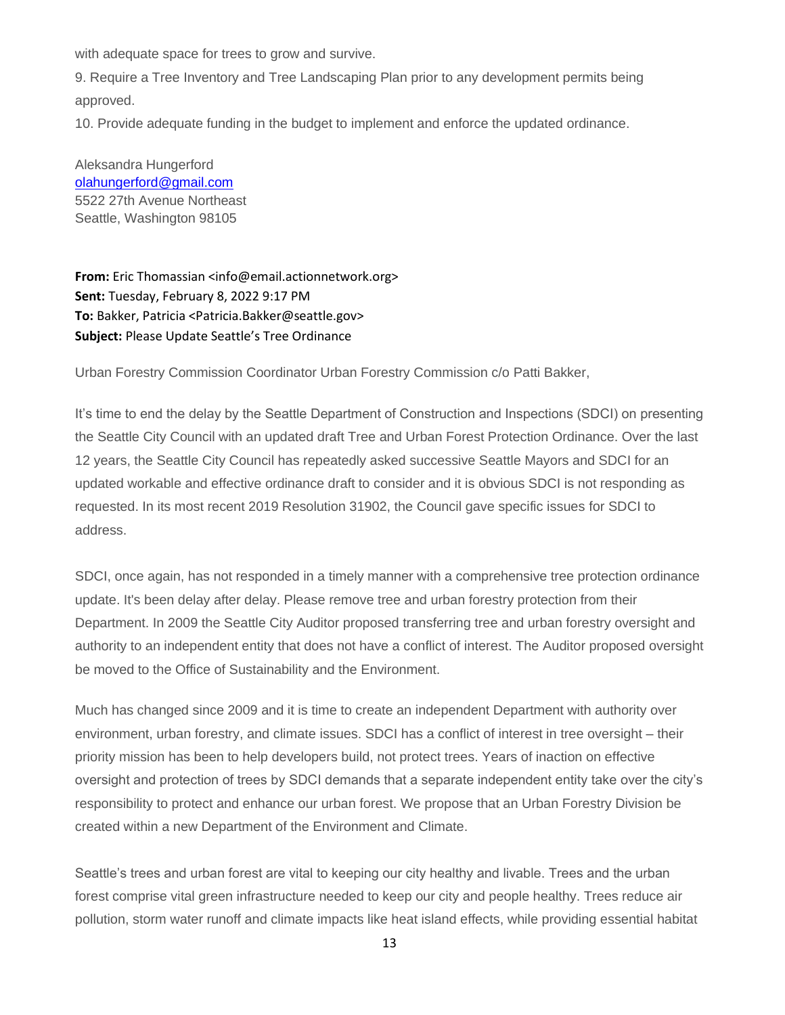with adequate space for trees to grow and survive.

9. Require a Tree Inventory and Tree Landscaping Plan prior to any development permits being approved.

10. Provide adequate funding in the budget to implement and enforce the updated ordinance.

Aleksandra Hungerford [olahungerford@gmail.com](mailto:olahungerford@gmail.com) 5522 27th Avenue Northeast Seattle, Washington 98105

**From:** Eric Thomassian <info@email.actionnetwork.org> **Sent:** Tuesday, February 8, 2022 9:17 PM **To:** Bakker, Patricia <Patricia.Bakker@seattle.gov> **Subject:** Please Update Seattle's Tree Ordinance

Urban Forestry Commission Coordinator Urban Forestry Commission c/o Patti Bakker,

It's time to end the delay by the Seattle Department of Construction and Inspections (SDCI) on presenting the Seattle City Council with an updated draft Tree and Urban Forest Protection Ordinance. Over the last 12 years, the Seattle City Council has repeatedly asked successive Seattle Mayors and SDCI for an updated workable and effective ordinance draft to consider and it is obvious SDCI is not responding as requested. In its most recent 2019 Resolution 31902, the Council gave specific issues for SDCI to address.

SDCI, once again, has not responded in a timely manner with a comprehensive tree protection ordinance update. It's been delay after delay. Please remove tree and urban forestry protection from their Department. In 2009 the Seattle City Auditor proposed transferring tree and urban forestry oversight and authority to an independent entity that does not have a conflict of interest. The Auditor proposed oversight be moved to the Office of Sustainability and the Environment.

Much has changed since 2009 and it is time to create an independent Department with authority over environment, urban forestry, and climate issues. SDCI has a conflict of interest in tree oversight – their priority mission has been to help developers build, not protect trees. Years of inaction on effective oversight and protection of trees by SDCI demands that a separate independent entity take over the city's responsibility to protect and enhance our urban forest. We propose that an Urban Forestry Division be created within a new Department of the Environment and Climate.

Seattle's trees and urban forest are vital to keeping our city healthy and livable. Trees and the urban forest comprise vital green infrastructure needed to keep our city and people healthy. Trees reduce air pollution, storm water runoff and climate impacts like heat island effects, while providing essential habitat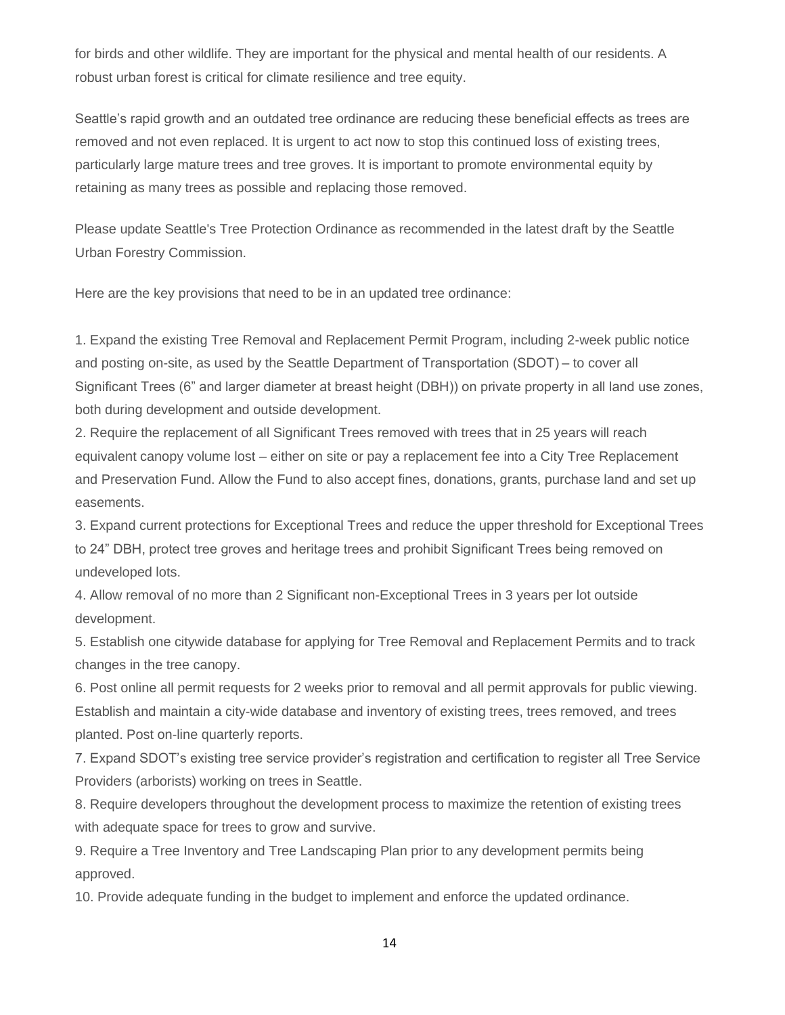for birds and other wildlife. They are important for the physical and mental health of our residents. A robust urban forest is critical for climate resilience and tree equity.

Seattle's rapid growth and an outdated tree ordinance are reducing these beneficial effects as trees are removed and not even replaced. It is urgent to act now to stop this continued loss of existing trees, particularly large mature trees and tree groves. It is important to promote environmental equity by retaining as many trees as possible and replacing those removed.

Please update Seattle's Tree Protection Ordinance as recommended in the latest draft by the Seattle Urban Forestry Commission.

Here are the key provisions that need to be in an updated tree ordinance:

1. Expand the existing Tree Removal and Replacement Permit Program, including 2-week public notice and posting on-site, as used by the Seattle Department of Transportation (SDOT) – to cover all Significant Trees (6" and larger diameter at breast height (DBH)) on private property in all land use zones, both during development and outside development.

2. Require the replacement of all Significant Trees removed with trees that in 25 years will reach equivalent canopy volume lost – either on site or pay a replacement fee into a City Tree Replacement and Preservation Fund. Allow the Fund to also accept fines, donations, grants, purchase land and set up easements.

3. Expand current protections for Exceptional Trees and reduce the upper threshold for Exceptional Trees to 24" DBH, protect tree groves and heritage trees and prohibit Significant Trees being removed on undeveloped lots.

4. Allow removal of no more than 2 Significant non-Exceptional Trees in 3 years per lot outside development.

5. Establish one citywide database for applying for Tree Removal and Replacement Permits and to track changes in the tree canopy.

6. Post online all permit requests for 2 weeks prior to removal and all permit approvals for public viewing. Establish and maintain a city-wide database and inventory of existing trees, trees removed, and trees planted. Post on-line quarterly reports.

7. Expand SDOT's existing tree service provider's registration and certification to register all Tree Service Providers (arborists) working on trees in Seattle.

8. Require developers throughout the development process to maximize the retention of existing trees with adequate space for trees to grow and survive.

9. Require a Tree Inventory and Tree Landscaping Plan prior to any development permits being approved.

10. Provide adequate funding in the budget to implement and enforce the updated ordinance.

14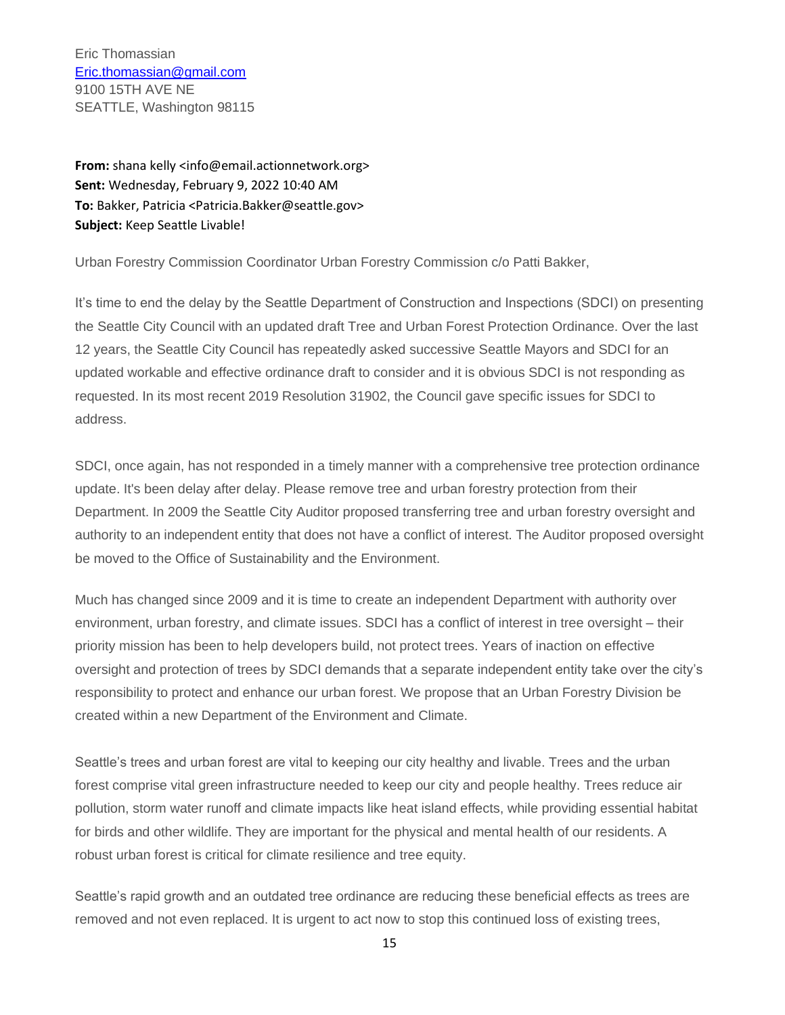Eric Thomassian [Eric.thomassian@gmail.com](mailto:Eric.thomassian@gmail.com) 9100 15TH AVE NE SEATTLE, Washington 98115

**From:** shana kelly <info@email.actionnetwork.org> **Sent:** Wednesday, February 9, 2022 10:40 AM **To:** Bakker, Patricia <Patricia.Bakker@seattle.gov> **Subject:** Keep Seattle Livable!

Urban Forestry Commission Coordinator Urban Forestry Commission c/o Patti Bakker,

It's time to end the delay by the Seattle Department of Construction and Inspections (SDCI) on presenting the Seattle City Council with an updated draft Tree and Urban Forest Protection Ordinance. Over the last 12 years, the Seattle City Council has repeatedly asked successive Seattle Mayors and SDCI for an updated workable and effective ordinance draft to consider and it is obvious SDCI is not responding as requested. In its most recent 2019 Resolution 31902, the Council gave specific issues for SDCI to address.

SDCI, once again, has not responded in a timely manner with a comprehensive tree protection ordinance update. It's been delay after delay. Please remove tree and urban forestry protection from their Department. In 2009 the Seattle City Auditor proposed transferring tree and urban forestry oversight and authority to an independent entity that does not have a conflict of interest. The Auditor proposed oversight be moved to the Office of Sustainability and the Environment.

Much has changed since 2009 and it is time to create an independent Department with authority over environment, urban forestry, and climate issues. SDCI has a conflict of interest in tree oversight – their priority mission has been to help developers build, not protect trees. Years of inaction on effective oversight and protection of trees by SDCI demands that a separate independent entity take over the city's responsibility to protect and enhance our urban forest. We propose that an Urban Forestry Division be created within a new Department of the Environment and Climate.

Seattle's trees and urban forest are vital to keeping our city healthy and livable. Trees and the urban forest comprise vital green infrastructure needed to keep our city and people healthy. Trees reduce air pollution, storm water runoff and climate impacts like heat island effects, while providing essential habitat for birds and other wildlife. They are important for the physical and mental health of our residents. A robust urban forest is critical for climate resilience and tree equity.

Seattle's rapid growth and an outdated tree ordinance are reducing these beneficial effects as trees are removed and not even replaced. It is urgent to act now to stop this continued loss of existing trees,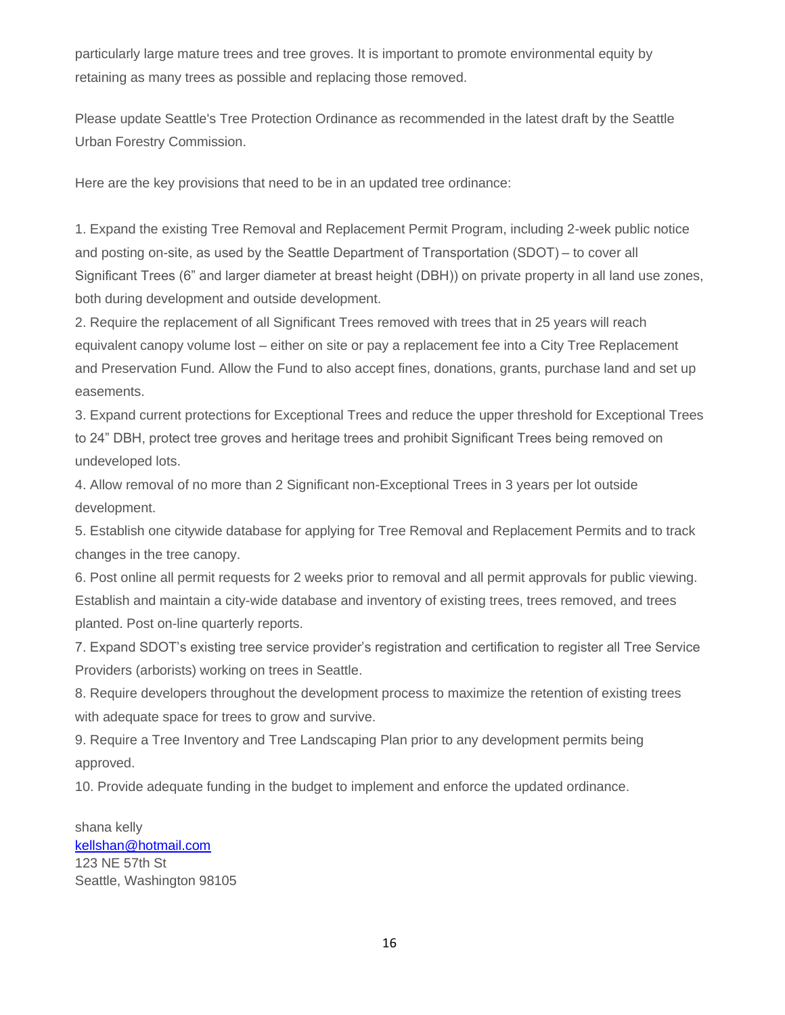particularly large mature trees and tree groves. It is important to promote environmental equity by retaining as many trees as possible and replacing those removed.

Please update Seattle's Tree Protection Ordinance as recommended in the latest draft by the Seattle Urban Forestry Commission.

Here are the key provisions that need to be in an updated tree ordinance:

1. Expand the existing Tree Removal and Replacement Permit Program, including 2-week public notice and posting on-site, as used by the Seattle Department of Transportation (SDOT) – to cover all Significant Trees (6" and larger diameter at breast height (DBH)) on private property in all land use zones, both during development and outside development.

2. Require the replacement of all Significant Trees removed with trees that in 25 years will reach equivalent canopy volume lost – either on site or pay a replacement fee into a City Tree Replacement and Preservation Fund. Allow the Fund to also accept fines, donations, grants, purchase land and set up easements.

3. Expand current protections for Exceptional Trees and reduce the upper threshold for Exceptional Trees to 24" DBH, protect tree groves and heritage trees and prohibit Significant Trees being removed on undeveloped lots.

4. Allow removal of no more than 2 Significant non-Exceptional Trees in 3 years per lot outside development.

5. Establish one citywide database for applying for Tree Removal and Replacement Permits and to track changes in the tree canopy.

6. Post online all permit requests for 2 weeks prior to removal and all permit approvals for public viewing. Establish and maintain a city-wide database and inventory of existing trees, trees removed, and trees planted. Post on-line quarterly reports.

7. Expand SDOT's existing tree service provider's registration and certification to register all Tree Service Providers (arborists) working on trees in Seattle.

8. Require developers throughout the development process to maximize the retention of existing trees with adequate space for trees to grow and survive.

9. Require a Tree Inventory and Tree Landscaping Plan prior to any development permits being approved.

10. Provide adequate funding in the budget to implement and enforce the updated ordinance.

shana kelly [kellshan@hotmail.com](mailto:kellshan@hotmail.com) 123 NE 57th St Seattle, Washington 98105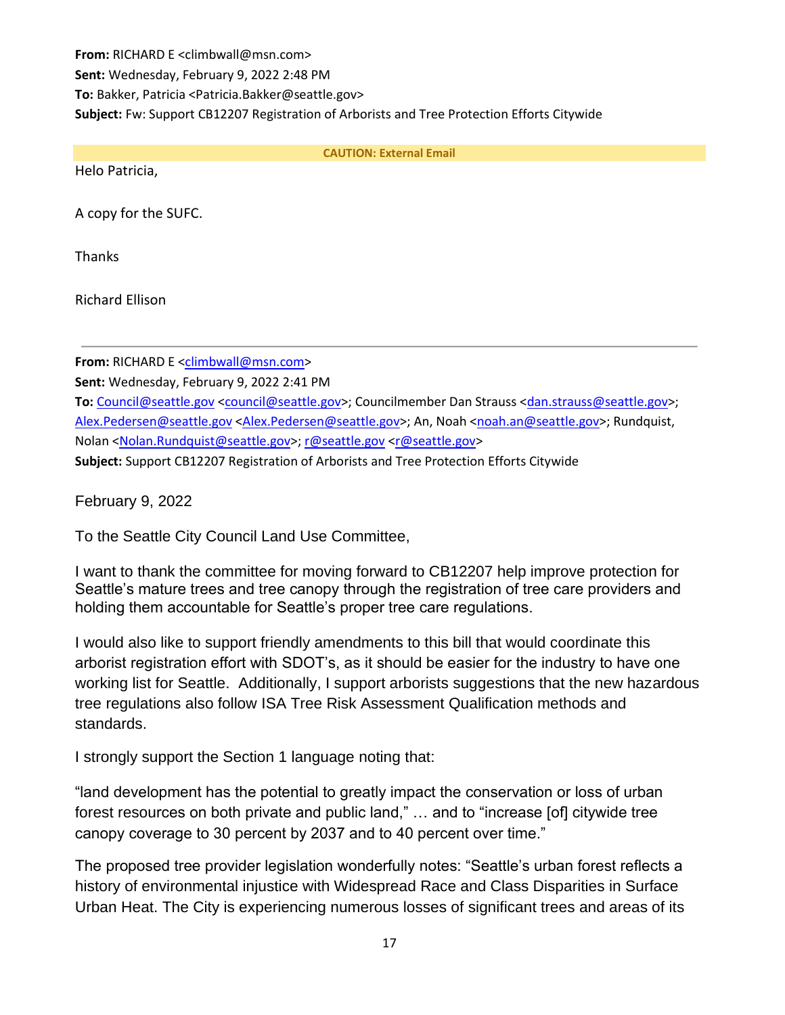**From:** RICHARD E <climbwall@msn.com> **Sent:** Wednesday, February 9, 2022 2:48 PM **To:** Bakker, Patricia <Patricia.Bakker@seattle.gov> **Subject:** Fw: Support CB12207 Registration of Arborists and Tree Protection Efforts Citywide

**CAUTION: External Email**

Helo Patricia,

A copy for the SUFC.

**Thanks** 

Richard Ellison

**From:** RICHARD E [<climbwall@msn.com>](mailto:climbwall@msn.com)

**Sent:** Wednesday, February 9, 2022 2:41 PM

**To:** [Council@seattle.gov](mailto:Council@seattle.gov) [<council@seattle.gov>](mailto:council@seattle.gov); Councilmember Dan Strauss [<dan.strauss@seattle.gov>](mailto:dan.strauss@seattle.gov); [Alex.Pedersen@seattle.gov](mailto:Alex.Pedersen@seattle.gov) [<Alex.Pedersen@seattle.gov>](mailto:Alex.Pedersen@seattle.gov); An, Noah [<noah.an@seattle.gov>](mailto:noah.an@seattle.gov); Rundquist, Nolan [<Nolan.Rundquist@seattle.gov>](mailto:Nolan.Rundquist@seattle.gov)[; r@seattle.gov](mailto:r@seattle.gov) [<r@seattle.gov>](mailto:r@seattle.gov) **Subject:** Support CB12207 Registration of Arborists and Tree Protection Efforts Citywide

February 9, 2022

To the Seattle City Council Land Use Committee,

I want to thank the committee for moving forward to CB12207 help improve protection for Seattle's mature trees and tree canopy through the registration of tree care providers and holding them accountable for Seattle's proper tree care regulations.

I would also like to support friendly amendments to this bill that would coordinate this arborist registration effort with SDOT's, as it should be easier for the industry to have one working list for Seattle. Additionally, I support arborists suggestions that the new hazardous tree regulations also follow ISA Tree Risk Assessment Qualification methods and standards.

I strongly support the Section 1 language noting that:

"land development has the potential to greatly impact the conservation or loss of urban forest resources on both private and public land," … and to "increase [of] citywide tree canopy coverage to 30 percent by 2037 and to 40 percent over time."

The proposed tree provider legislation wonderfully notes: "Seattle's urban forest reflects a history of environmental injustice with Widespread Race and Class Disparities in Surface Urban Heat. The City is experiencing numerous losses of significant trees and areas of its